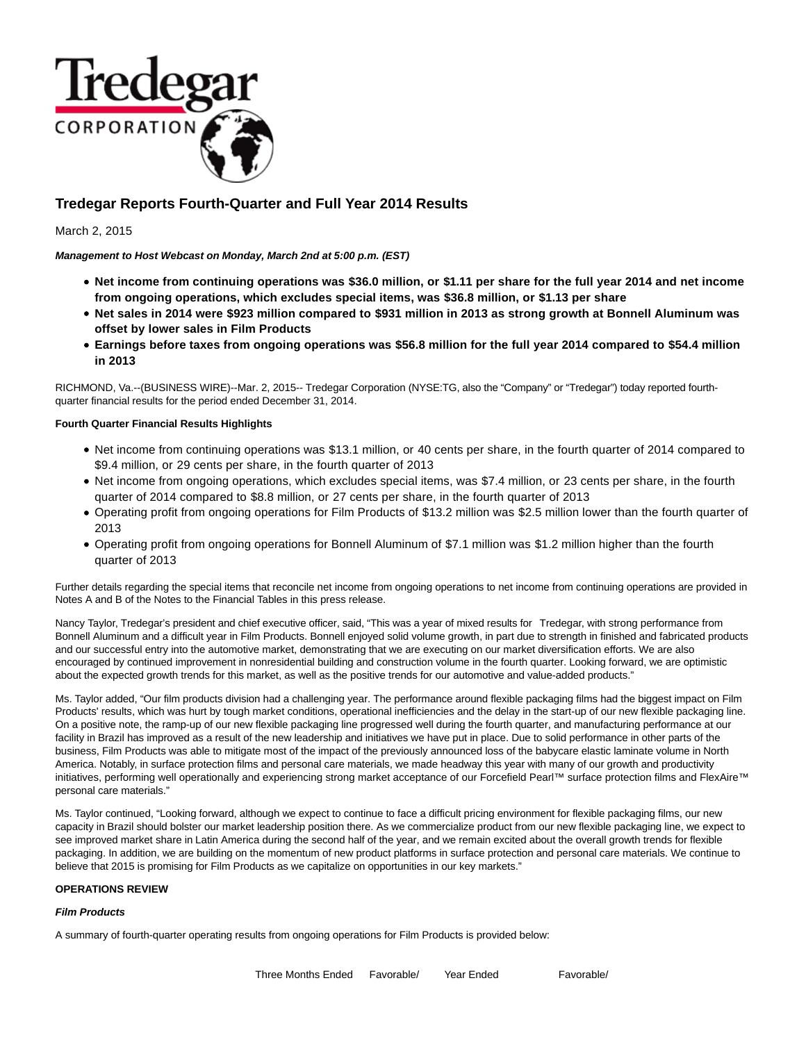

# **Tredegar Reports Fourth-Quarter and Full Year 2014 Results**

March 2, 2015

**Management to Host Webcast on Monday, March 2nd at 5:00 p.m. (EST)**

- **Net income from continuing operations was \$36.0 million, or \$1.11 per share for the full year 2014 and net income from ongoing operations, which excludes special items, was \$36.8 million, or \$1.13 per share**
- **Net sales in 2014 were \$923 million compared to \$931 million in 2013 as strong growth at Bonnell Aluminum was offset by lower sales in Film Products**
- **Earnings before taxes from ongoing operations was \$56.8 million for the full year 2014 compared to \$54.4 million in 2013**

RICHMOND, Va.--(BUSINESS WIRE)--Mar. 2, 2015-- Tredegar Corporation (NYSE:TG, also the "Company" or "Tredegar") today reported fourthquarter financial results for the period ended December 31, 2014.

### **Fourth Quarter Financial Results Highlights**

- Net income from continuing operations was \$13.1 million, or 40 cents per share, in the fourth quarter of 2014 compared to \$9.4 million, or 29 cents per share, in the fourth quarter of 2013
- Net income from ongoing operations, which excludes special items, was \$7.4 million, or 23 cents per share, in the fourth quarter of 2014 compared to \$8.8 million, or 27 cents per share, in the fourth quarter of 2013
- Operating profit from ongoing operations for Film Products of \$13.2 million was \$2.5 million lower than the fourth quarter of 2013
- Operating profit from ongoing operations for Bonnell Aluminum of \$7.1 million was \$1.2 million higher than the fourth quarter of 2013

Further details regarding the special items that reconcile net income from ongoing operations to net income from continuing operations are provided in Notes A and B of the Notes to the Financial Tables in this press release.

Nancy Taylor, Tredegar's president and chief executive officer, said, "This was a year of mixed results for Tredegar, with strong performance from Bonnell Aluminum and a difficult year in Film Products. Bonnell enjoyed solid volume growth, in part due to strength in finished and fabricated products and our successful entry into the automotive market, demonstrating that we are executing on our market diversification efforts. We are also encouraged by continued improvement in nonresidential building and construction volume in the fourth quarter. Looking forward, we are optimistic about the expected growth trends for this market, as well as the positive trends for our automotive and value-added products."

Ms. Taylor added, "Our film products division had a challenging year. The performance around flexible packaging films had the biggest impact on Film Products' results, which was hurt by tough market conditions, operational inefficiencies and the delay in the start-up of our new flexible packaging line. On a positive note, the ramp-up of our new flexible packaging line progressed well during the fourth quarter, and manufacturing performance at our facility in Brazil has improved as a result of the new leadership and initiatives we have put in place. Due to solid performance in other parts of the business, Film Products was able to mitigate most of the impact of the previously announced loss of the babycare elastic laminate volume in North America. Notably, in surface protection films and personal care materials, we made headway this year with many of our growth and productivity initiatives, performing well operationally and experiencing strong market acceptance of our Forcefield Pearl™ surface protection films and FlexAire™ personal care materials."

Ms. Taylor continued, "Looking forward, although we expect to continue to face a difficult pricing environment for flexible packaging films, our new capacity in Brazil should bolster our market leadership position there. As we commercialize product from our new flexible packaging line, we expect to see improved market share in Latin America during the second half of the year, and we remain excited about the overall growth trends for flexible packaging. In addition, we are building on the momentum of new product platforms in surface protection and personal care materials. We continue to believe that 2015 is promising for Film Products as we capitalize on opportunities in our key markets."

### **OPERATIONS REVIEW**

### **Film Products**

A summary of fourth-quarter operating results from ongoing operations for Film Products is provided below: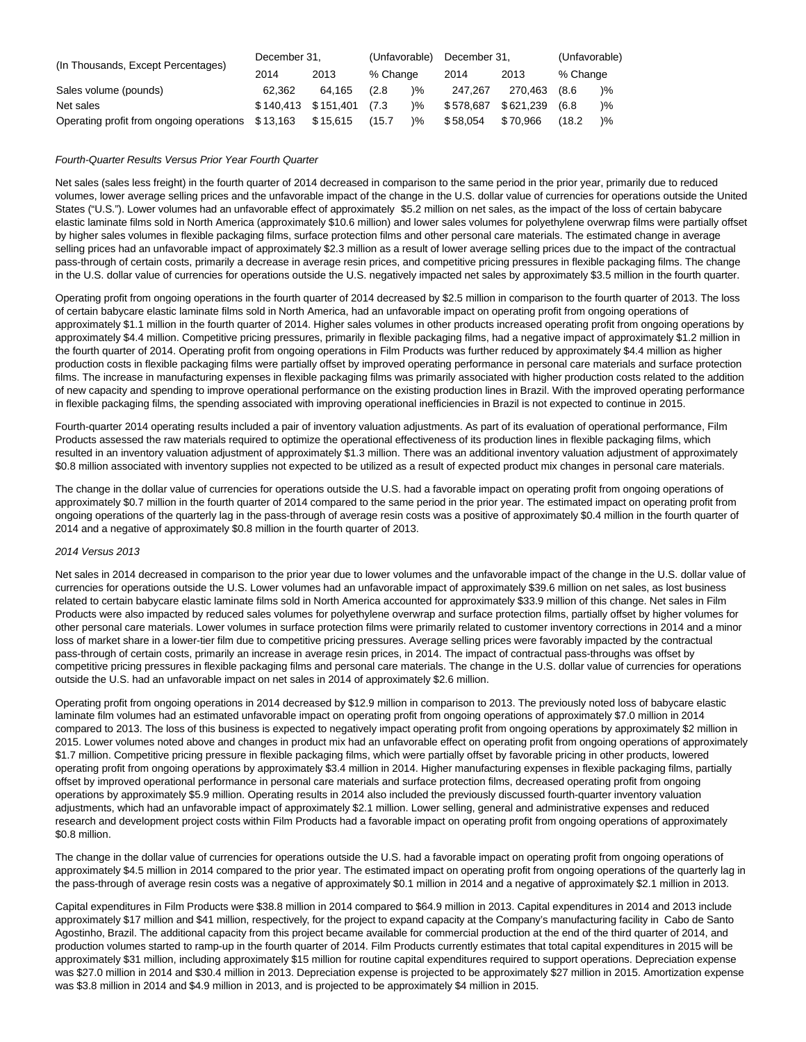|                                                   | December 31. |                     | (Unfavorable) |               | December 31. |           | (Unfavorable) |               |
|---------------------------------------------------|--------------|---------------------|---------------|---------------|--------------|-----------|---------------|---------------|
| (In Thousands, Except Percentages)                | 2014         | 2013                | % Change      |               | 2014         | 2013      | % Change      |               |
| Sales volume (pounds)                             | 62.362       | 64.165              | (2.8)         | )%            | 247.267      | 270.463   | (8.6)         | $\frac{9}{6}$ |
| Net sales                                         |              | \$140.413 \$151.401 | (7.3)         | )%            | \$578.687    | \$621.239 | (6.8)         | $\frac{9}{6}$ |
| Operating profit from ongoing operations \$13,163 |              | \$15,615            | (15.7)        | $\frac{9}{6}$ | \$58,054     | \$70,966  | (18.2         | $\frac{9}{6}$ |

### Fourth-Quarter Results Versus Prior Year Fourth Quarter

Net sales (sales less freight) in the fourth quarter of 2014 decreased in comparison to the same period in the prior year, primarily due to reduced volumes, lower average selling prices and the unfavorable impact of the change in the U.S. dollar value of currencies for operations outside the United States ("U.S."). Lower volumes had an unfavorable effect of approximately \$5.2 million on net sales, as the impact of the loss of certain babycare elastic laminate films sold in North America (approximately \$10.6 million) and lower sales volumes for polyethylene overwrap films were partially offset by higher sales volumes in flexible packaging films, surface protection films and other personal care materials. The estimated change in average selling prices had an unfavorable impact of approximately \$2.3 million as a result of lower average selling prices due to the impact of the contractual pass-through of certain costs, primarily a decrease in average resin prices, and competitive pricing pressures in flexible packaging films. The change in the U.S. dollar value of currencies for operations outside the U.S. negatively impacted net sales by approximately \$3.5 million in the fourth quarter.

Operating profit from ongoing operations in the fourth quarter of 2014 decreased by \$2.5 million in comparison to the fourth quarter of 2013. The loss of certain babycare elastic laminate films sold in North America, had an unfavorable impact on operating profit from ongoing operations of approximately \$1.1 million in the fourth quarter of 2014. Higher sales volumes in other products increased operating profit from ongoing operations by approximately \$4.4 million. Competitive pricing pressures, primarily in flexible packaging films, had a negative impact of approximately \$1.2 million in the fourth quarter of 2014. Operating profit from ongoing operations in Film Products was further reduced by approximately \$4.4 million as higher production costs in flexible packaging films were partially offset by improved operating performance in personal care materials and surface protection films. The increase in manufacturing expenses in flexible packaging films was primarily associated with higher production costs related to the addition of new capacity and spending to improve operational performance on the existing production lines in Brazil. With the improved operating performance in flexible packaging films, the spending associated with improving operational inefficiencies in Brazil is not expected to continue in 2015.

Fourth-quarter 2014 operating results included a pair of inventory valuation adjustments. As part of its evaluation of operational performance, Film Products assessed the raw materials required to optimize the operational effectiveness of its production lines in flexible packaging films, which resulted in an inventory valuation adjustment of approximately \$1.3 million. There was an additional inventory valuation adjustment of approximately \$0.8 million associated with inventory supplies not expected to be utilized as a result of expected product mix changes in personal care materials.

The change in the dollar value of currencies for operations outside the U.S. had a favorable impact on operating profit from ongoing operations of approximately \$0.7 million in the fourth quarter of 2014 compared to the same period in the prior year. The estimated impact on operating profit from ongoing operations of the quarterly lag in the pass-through of average resin costs was a positive of approximately \$0.4 million in the fourth quarter of 2014 and a negative of approximately \$0.8 million in the fourth quarter of 2013.

### 2014 Versus 2013

Net sales in 2014 decreased in comparison to the prior year due to lower volumes and the unfavorable impact of the change in the U.S. dollar value of currencies for operations outside the U.S. Lower volumes had an unfavorable impact of approximately \$39.6 million on net sales, as lost business related to certain babycare elastic laminate films sold in North America accounted for approximately \$33.9 million of this change. Net sales in Film Products were also impacted by reduced sales volumes for polyethylene overwrap and surface protection films, partially offset by higher volumes for other personal care materials. Lower volumes in surface protection films were primarily related to customer inventory corrections in 2014 and a minor loss of market share in a lower-tier film due to competitive pricing pressures. Average selling prices were favorably impacted by the contractual pass-through of certain costs, primarily an increase in average resin prices, in 2014. The impact of contractual pass-throughs was offset by competitive pricing pressures in flexible packaging films and personal care materials. The change in the U.S. dollar value of currencies for operations outside the U.S. had an unfavorable impact on net sales in 2014 of approximately \$2.6 million.

Operating profit from ongoing operations in 2014 decreased by \$12.9 million in comparison to 2013. The previously noted loss of babycare elastic laminate film volumes had an estimated unfavorable impact on operating profit from ongoing operations of approximately \$7.0 million in 2014 compared to 2013. The loss of this business is expected to negatively impact operating profit from ongoing operations by approximately \$2 million in 2015. Lower volumes noted above and changes in product mix had an unfavorable effect on operating profit from ongoing operations of approximately \$1.7 million. Competitive pricing pressure in flexible packaging films, which were partially offset by favorable pricing in other products, lowered operating profit from ongoing operations by approximately \$3.4 million in 2014. Higher manufacturing expenses in flexible packaging films, partially offset by improved operational performance in personal care materials and surface protection films, decreased operating profit from ongoing operations by approximately \$5.9 million. Operating results in 2014 also included the previously discussed fourth-quarter inventory valuation adjustments, which had an unfavorable impact of approximately \$2.1 million. Lower selling, general and administrative expenses and reduced research and development project costs within Film Products had a favorable impact on operating profit from ongoing operations of approximately \$0.8 million.

The change in the dollar value of currencies for operations outside the U.S. had a favorable impact on operating profit from ongoing operations of approximately \$4.5 million in 2014 compared to the prior year. The estimated impact on operating profit from ongoing operations of the quarterly lag in the pass-through of average resin costs was a negative of approximately \$0.1 million in 2014 and a negative of approximately \$2.1 million in 2013.

Capital expenditures in Film Products were \$38.8 million in 2014 compared to \$64.9 million in 2013. Capital expenditures in 2014 and 2013 include approximately \$17 million and \$41 million, respectively, for the project to expand capacity at the Company's manufacturing facility in Cabo de Santo Agostinho, Brazil. The additional capacity from this project became available for commercial production at the end of the third quarter of 2014, and production volumes started to ramp-up in the fourth quarter of 2014. Film Products currently estimates that total capital expenditures in 2015 will be approximately \$31 million, including approximately \$15 million for routine capital expenditures required to support operations. Depreciation expense was \$27.0 million in 2014 and \$30.4 million in 2013. Depreciation expense is projected to be approximately \$27 million in 2015. Amortization expense was \$3.8 million in 2014 and \$4.9 million in 2013, and is projected to be approximately \$4 million in 2015.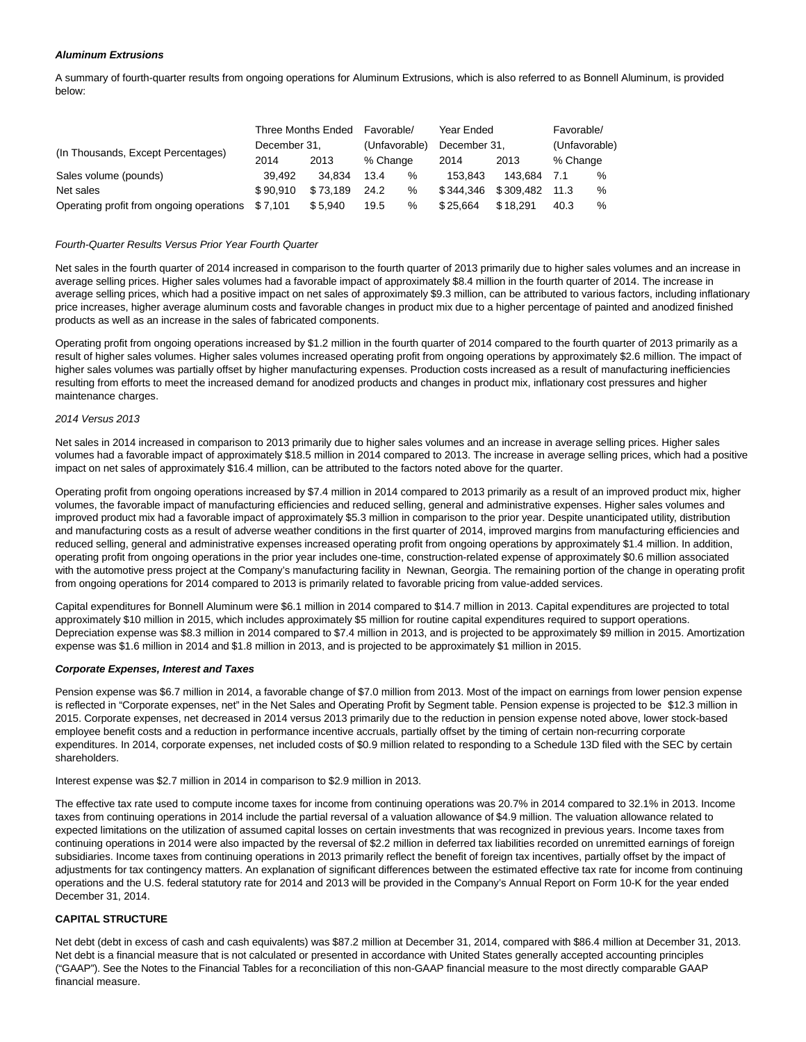### **Aluminum Extrusions**

A summary of fourth-quarter results from ongoing operations for Aluminum Extrusions, which is also referred to as Bonnell Aluminum, is provided below:

|                                                  | Three Months Ended |          | Favorable/<br>Year Ended |      | Favorable/   |           |               |   |
|--------------------------------------------------|--------------------|----------|--------------------------|------|--------------|-----------|---------------|---|
| (In Thousands, Except Percentages)               | December 31.       |          | (Unfavorable)            |      | December 31. |           | (Unfavorable) |   |
|                                                  | 2014               | 2013     | % Change                 |      | 2014         | 2013      | % Change      |   |
| Sales volume (pounds)                            | 39.492             | 34.834   | 13.4                     | %    | 153.843      | 143.684   | 7.1           | % |
| Net sales                                        | \$90.910           | \$73.189 | 24.2                     | $\%$ | \$344.346    | \$309.482 | 11.3          | % |
| Operating profit from ongoing operations \$7,101 |                    | \$5.940  | 19.5                     | %    | \$25.664     | \$18,291  | 40.3          | % |

#### Fourth-Quarter Results Versus Prior Year Fourth Quarter

Net sales in the fourth quarter of 2014 increased in comparison to the fourth quarter of 2013 primarily due to higher sales volumes and an increase in average selling prices. Higher sales volumes had a favorable impact of approximately \$8.4 million in the fourth quarter of 2014. The increase in average selling prices, which had a positive impact on net sales of approximately \$9.3 million, can be attributed to various factors, including inflationary price increases, higher average aluminum costs and favorable changes in product mix due to a higher percentage of painted and anodized finished products as well as an increase in the sales of fabricated components.

Operating profit from ongoing operations increased by \$1.2 million in the fourth quarter of 2014 compared to the fourth quarter of 2013 primarily as a result of higher sales volumes. Higher sales volumes increased operating profit from ongoing operations by approximately \$2.6 million. The impact of higher sales volumes was partially offset by higher manufacturing expenses. Production costs increased as a result of manufacturing inefficiencies resulting from efforts to meet the increased demand for anodized products and changes in product mix, inflationary cost pressures and higher maintenance charges.

#### 2014 Versus 2013

Net sales in 2014 increased in comparison to 2013 primarily due to higher sales volumes and an increase in average selling prices. Higher sales volumes had a favorable impact of approximately \$18.5 million in 2014 compared to 2013. The increase in average selling prices, which had a positive impact on net sales of approximately \$16.4 million, can be attributed to the factors noted above for the quarter.

Operating profit from ongoing operations increased by \$7.4 million in 2014 compared to 2013 primarily as a result of an improved product mix, higher volumes, the favorable impact of manufacturing efficiencies and reduced selling, general and administrative expenses. Higher sales volumes and improved product mix had a favorable impact of approximately \$5.3 million in comparison to the prior year. Despite unanticipated utility, distribution and manufacturing costs as a result of adverse weather conditions in the first quarter of 2014, improved margins from manufacturing efficiencies and reduced selling, general and administrative expenses increased operating profit from ongoing operations by approximately \$1.4 million. In addition, operating profit from ongoing operations in the prior year includes one-time, construction-related expense of approximately \$0.6 million associated with the automotive press project at the Company's manufacturing facility in Newnan, Georgia. The remaining portion of the change in operating profit from ongoing operations for 2014 compared to 2013 is primarily related to favorable pricing from value-added services.

Capital expenditures for Bonnell Aluminum were \$6.1 million in 2014 compared to \$14.7 million in 2013. Capital expenditures are projected to total approximately \$10 million in 2015, which includes approximately \$5 million for routine capital expenditures required to support operations. Depreciation expense was \$8.3 million in 2014 compared to \$7.4 million in 2013, and is projected to be approximately \$9 million in 2015. Amortization expense was \$1.6 million in 2014 and \$1.8 million in 2013, and is projected to be approximately \$1 million in 2015.

#### **Corporate Expenses, Interest and Taxes**

Pension expense was \$6.7 million in 2014, a favorable change of \$7.0 million from 2013. Most of the impact on earnings from lower pension expense is reflected in "Corporate expenses, net" in the Net Sales and Operating Profit by Segment table. Pension expense is projected to be \$12.3 million in 2015. Corporate expenses, net decreased in 2014 versus 2013 primarily due to the reduction in pension expense noted above, lower stock-based employee benefit costs and a reduction in performance incentive accruals, partially offset by the timing of certain non-recurring corporate expenditures. In 2014, corporate expenses, net included costs of \$0.9 million related to responding to a Schedule 13D filed with the SEC by certain shareholders.

Interest expense was \$2.7 million in 2014 in comparison to \$2.9 million in 2013.

The effective tax rate used to compute income taxes for income from continuing operations was 20.7% in 2014 compared to 32.1% in 2013. Income taxes from continuing operations in 2014 include the partial reversal of a valuation allowance of \$4.9 million. The valuation allowance related to expected limitations on the utilization of assumed capital losses on certain investments that was recognized in previous years. Income taxes from continuing operations in 2014 were also impacted by the reversal of \$2.2 million in deferred tax liabilities recorded on unremitted earnings of foreign subsidiaries. Income taxes from continuing operations in 2013 primarily reflect the benefit of foreign tax incentives, partially offset by the impact of adjustments for tax contingency matters. An explanation of significant differences between the estimated effective tax rate for income from continuing operations and the U.S. federal statutory rate for 2014 and 2013 will be provided in the Company's Annual Report on Form 10-K for the year ended December 31, 2014.

### **CAPITAL STRUCTURE**

Net debt (debt in excess of cash and cash equivalents) was \$87.2 million at December 31, 2014, compared with \$86.4 million at December 31, 2013. Net debt is a financial measure that is not calculated or presented in accordance with United States generally accepted accounting principles ("GAAP"). See the Notes to the Financial Tables for a reconciliation of this non-GAAP financial measure to the most directly comparable GAAP financial measure.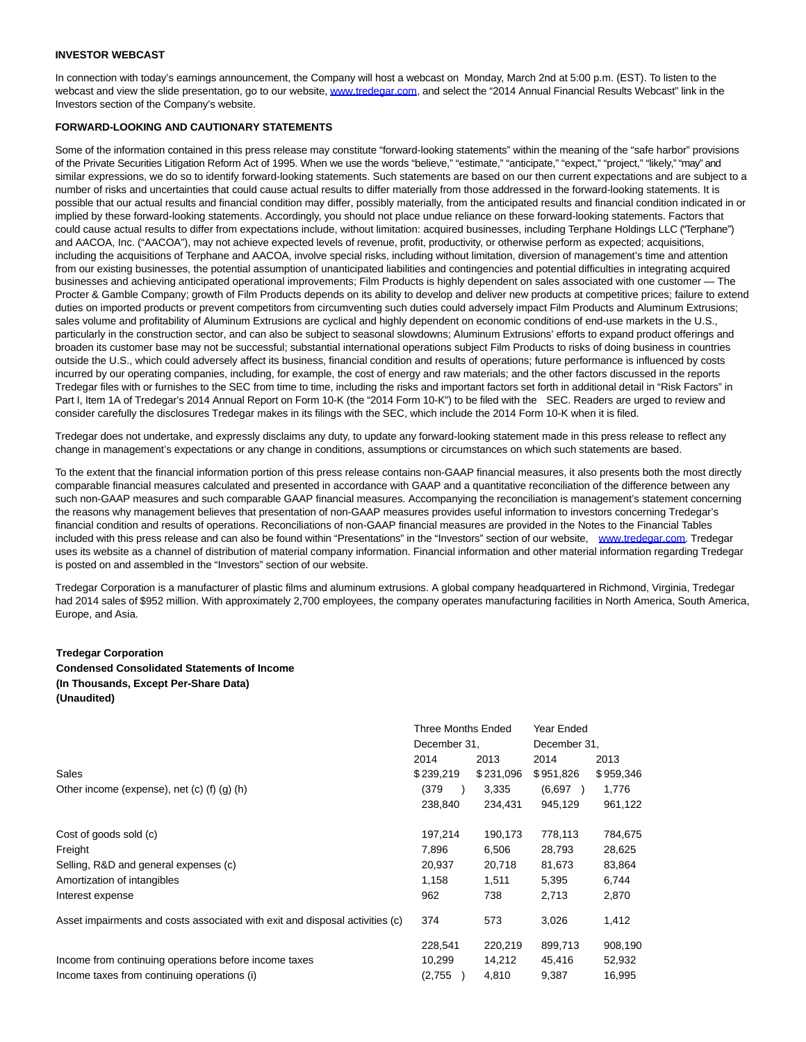### **INVESTOR WEBCAST**

In connection with today's earnings announcement, the Company will host a webcast on Monday, March 2nd at 5:00 p.m. (EST). To listen to the webcast and view the slide presentation, go to our website[, www.tredegar.com,](http://cts.businesswire.com/ct/CT?id=smartlink&url=http%3A%2F%2Fwww.tredegar.com&esheet=51049212&newsitemid=20150302006704&lan=en-US&anchor=www.tredegar.com&index=1&md5=1f0e5cf2d3ec8e6e019b4d57bfda3c88) and select the "2014 Annual Financial Results Webcast" link in the Investors section of the Company's website.

### **FORWARD-LOOKING AND CAUTIONARY STATEMENTS**

Some of the information contained in this press release may constitute "forward-looking statements" within the meaning of the "safe harbor" provisions of the Private Securities Litigation Reform Act of 1995. When we use the words "believe," "estimate," "anticipate," "expect," "project," "likely," "may" and similar expressions, we do so to identify forward-looking statements. Such statements are based on our then current expectations and are subject to a number of risks and uncertainties that could cause actual results to differ materially from those addressed in the forward-looking statements. It is possible that our actual results and financial condition may differ, possibly materially, from the anticipated results and financial condition indicated in or implied by these forward-looking statements. Accordingly, you should not place undue reliance on these forward-looking statements. Factors that could cause actual results to differ from expectations include, without limitation: acquired businesses, including Terphane Holdings LLC ("Terphane") and AACOA, Inc. ("AACOA"), may not achieve expected levels of revenue, profit, productivity, or otherwise perform as expected; acquisitions, including the acquisitions of Terphane and AACOA, involve special risks, including without limitation, diversion of management's time and attention from our existing businesses, the potential assumption of unanticipated liabilities and contingencies and potential difficulties in integrating acquired businesses and achieving anticipated operational improvements; Film Products is highly dependent on sales associated with one customer — The Procter & Gamble Company; growth of Film Products depends on its ability to develop and deliver new products at competitive prices; failure to extend duties on imported products or prevent competitors from circumventing such duties could adversely impact Film Products and Aluminum Extrusions; sales volume and profitability of Aluminum Extrusions are cyclical and highly dependent on economic conditions of end-use markets in the U.S., particularly in the construction sector, and can also be subject to seasonal slowdowns; Aluminum Extrusions' efforts to expand product offerings and broaden its customer base may not be successful; substantial international operations subject Film Products to risks of doing business in countries outside the U.S., which could adversely affect its business, financial condition and results of operations; future performance is influenced by costs incurred by our operating companies, including, for example, the cost of energy and raw materials; and the other factors discussed in the reports Tredegar files with or furnishes to the SEC from time to time, including the risks and important factors set forth in additional detail in "Risk Factors" in Part I, Item 1A of Tredegar's 2014 Annual Report on Form 10-K (the "2014 Form 10-K") to be filed with the SEC. Readers are urged to review and consider carefully the disclosures Tredegar makes in its filings with the SEC, which include the 2014 Form 10-K when it is filed.

Tredegar does not undertake, and expressly disclaims any duty, to update any forward-looking statement made in this press release to reflect any change in management's expectations or any change in conditions, assumptions or circumstances on which such statements are based.

To the extent that the financial information portion of this press release contains non-GAAP financial measures, it also presents both the most directly comparable financial measures calculated and presented in accordance with GAAP and a quantitative reconciliation of the difference between any such non-GAAP measures and such comparable GAAP financial measures. Accompanying the reconciliation is management's statement concerning the reasons why management believes that presentation of non-GAAP measures provides useful information to investors concerning Tredegar's financial condition and results of operations. Reconciliations of non-GAAP financial measures are provided in the Notes to the Financial Tables included with this press release and can also be found within "Presentations" in the "Investors" section of our website, [www.tredegar.com.](http://www.tredegar.com/) Tredegar uses its website as a channel of distribution of material company information. Financial information and other material information regarding Tredegar is posted on and assembled in the "Investors" section of our website.

Tredegar Corporation is a manufacturer of plastic films and aluminum extrusions. A global company headquartered in Richmond, Virginia, Tredegar had 2014 sales of \$952 million. With approximately 2,700 employees, the company operates manufacturing facilities in North America, South America, Europe, and Asia.

#### **Tredegar Corporation**

**Condensed Consolidated Statements of Income (In Thousands, Except Per-Share Data) (Unaudited)**

|                                                                              |              | <b>Three Months Ended</b> | Year Ended   |           |  |
|------------------------------------------------------------------------------|--------------|---------------------------|--------------|-----------|--|
|                                                                              | December 31, |                           | December 31, |           |  |
|                                                                              | 2014         | 2013                      | 2014         | 2013      |  |
| Sales                                                                        | \$239,219    | \$231,096                 | \$951,826    | \$959,346 |  |
| Other income (expense), net (c) (f) (g) (h)                                  | (379)        | 3,335                     | (6,697)      | 1,776     |  |
|                                                                              | 238,840      | 234,431                   | 945,129      | 961,122   |  |
| Cost of goods sold (c)                                                       | 197,214      | 190,173                   | 778,113      | 784,675   |  |
| Freight                                                                      | 7.896        | 6,506                     | 28,793       | 28,625    |  |
| Selling, R&D and general expenses (c)                                        | 20,937       | 20,718                    | 81,673       | 83,864    |  |
| Amortization of intangibles                                                  | 1,158        | 1,511                     | 5,395        | 6,744     |  |
| Interest expense                                                             | 962          | 738                       | 2,713        | 2,870     |  |
| Asset impairments and costs associated with exit and disposal activities (c) | 374          | 573                       | 3,026        | 1,412     |  |
|                                                                              | 228,541      | 220,219                   | 899.713      | 908,190   |  |
| Income from continuing operations before income taxes                        | 10,299       | 14,212                    | 45,416       | 52,932    |  |
| Income taxes from continuing operations (i)                                  | (2,755)      | 4,810                     | 9,387        | 16,995    |  |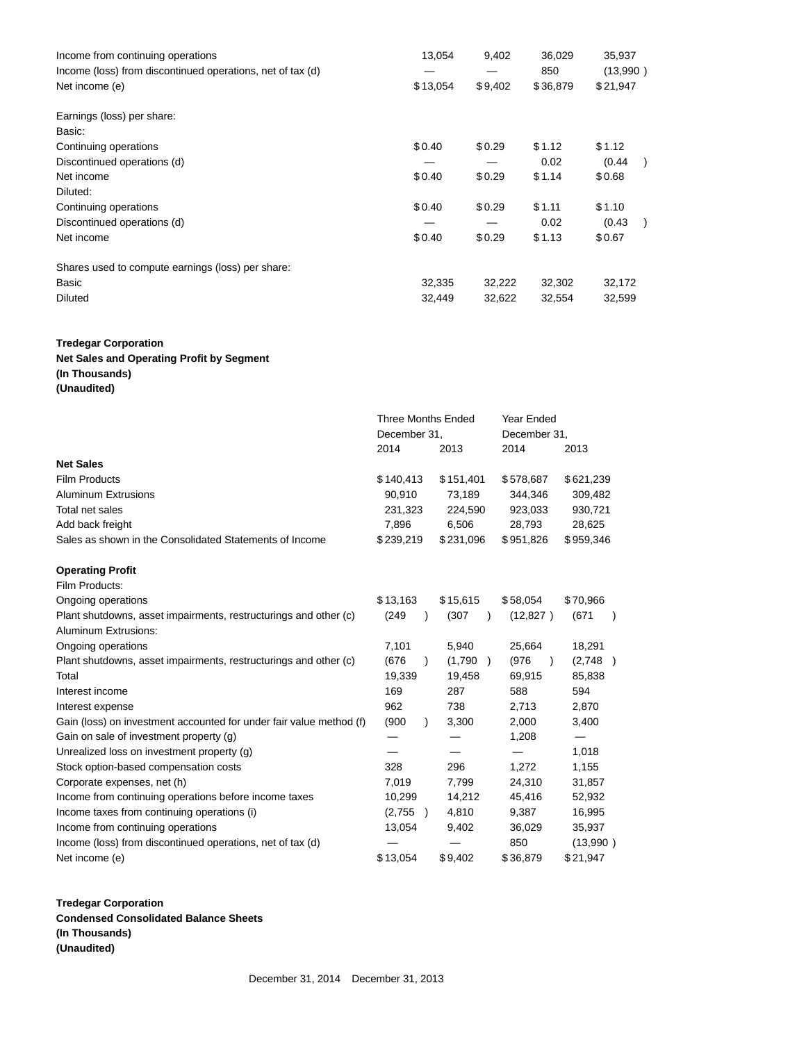| Income from continuing operations                                            | 13,054   | 9,402   | 36,029          | 35,937               |  |
|------------------------------------------------------------------------------|----------|---------|-----------------|----------------------|--|
| Income (loss) from discontinued operations, net of tax (d)<br>Net income (e) | \$13,054 | \$9,402 | 850<br>\$36,879 | (13,990)<br>\$21,947 |  |
| Earnings (loss) per share:                                                   |          |         |                 |                      |  |
| Basic:                                                                       |          |         |                 |                      |  |
| Continuing operations                                                        | \$0.40   | \$0.29  | \$1.12          | \$1.12               |  |
| Discontinued operations (d)                                                  |          |         | 0.02            | (0.44)               |  |
| Net income                                                                   | \$0.40   | \$0.29  | \$1.14          | \$0.68               |  |
| Diluted:                                                                     |          |         |                 |                      |  |
| Continuing operations                                                        | \$0.40   | \$0.29  | \$1.11          | \$1.10               |  |
| Discontinued operations (d)                                                  |          |         | 0.02            | (0.43)               |  |
| Net income                                                                   | \$0.40   | \$0.29  | \$1.13          | \$0.67               |  |
| Shares used to compute earnings (loss) per share:                            |          |         |                 |                      |  |
| Basic                                                                        | 32,335   | 32,222  | 32,302          | 32,172               |  |
| <b>Diluted</b>                                                               | 32,449   | 32,622  | 32,554          | 32,599               |  |

# **Tredegar Corporation Net Sales and Operating Profit by Segment**

**(In Thousands)**

**(Unaudited)**

|                                                                     | <b>Three Months Ended</b> |           |                          | Year Ended         |                          |  |
|---------------------------------------------------------------------|---------------------------|-----------|--------------------------|--------------------|--------------------------|--|
|                                                                     | December 31,              |           | December 31,             |                    |                          |  |
|                                                                     | 2014                      |           | 2013                     | 2014               | 2013                     |  |
| <b>Net Sales</b>                                                    |                           |           |                          |                    |                          |  |
| <b>Film Products</b>                                                | \$140,413                 |           | \$151,401                | \$578,687          | \$621,239                |  |
| <b>Aluminum Extrusions</b>                                          | 90,910                    |           | 73,189                   | 344,346            | 309,482                  |  |
| Total net sales                                                     | 231,323                   |           | 224,590                  | 923,033            | 930,721                  |  |
| Add back freight                                                    | 7,896                     |           | 6,506                    | 28,793             | 28,625                   |  |
| Sales as shown in the Consolidated Statements of Income             | \$239,219                 |           | \$231,096                | \$951,826          | \$959,346                |  |
| <b>Operating Profit</b>                                             |                           |           |                          |                    |                          |  |
| Film Products:                                                      |                           |           |                          |                    |                          |  |
| Ongoing operations                                                  | \$13,163                  |           | \$15,615                 | \$58,054           | \$70,966                 |  |
| Plant shutdowns, asset impairments, restructurings and other (c)    | (249                      | $\lambda$ | (307)                    | (12, 827)          | (671)                    |  |
| Aluminum Extrusions:                                                |                           |           |                          |                    |                          |  |
| Ongoing operations                                                  | 7,101                     |           | 5,940                    | 25,664             | 18,291                   |  |
| Plant shutdowns, asset impairments, restructurings and other (c)    | (676)                     | $\lambda$ | (1,790)<br>$\rightarrow$ | (976)<br>$\lambda$ | (2,748)                  |  |
| Total                                                               | 19,339                    |           | 19,458                   | 69,915             | 85,838                   |  |
| Interest income                                                     | 169                       |           | 287                      | 588                | 594                      |  |
| Interest expense                                                    | 962                       |           | 738                      | 2,713              | 2,870                    |  |
| Gain (loss) on investment accounted for under fair value method (f) | (900)                     | $\lambda$ | 3,300                    | 2,000              | 3,400                    |  |
| Gain on sale of investment property (g)                             |                           |           |                          | 1,208              | $\overline{\phantom{0}}$ |  |
| Unrealized loss on investment property (g)                          |                           |           |                          | —                  | 1,018                    |  |
| Stock option-based compensation costs                               | 328                       |           | 296                      | 1,272              | 1,155                    |  |
| Corporate expenses, net (h)                                         | 7,019                     |           | 7,799                    | 24,310             | 31,857                   |  |
| Income from continuing operations before income taxes               | 10,299                    |           | 14,212                   | 45,416             | 52,932                   |  |
| Income taxes from continuing operations (i)                         | (2,755)                   | $\lambda$ | 4,810                    | 9,387              | 16,995                   |  |
| Income from continuing operations                                   | 13,054                    |           | 9,402                    | 36,029             | 35,937                   |  |
| Income (loss) from discontinued operations, net of tax (d)          |                           |           |                          | 850                | (13,990)                 |  |
| Net income (e)                                                      | \$13,054                  |           | \$9,402                  | \$36,879           | \$21,947                 |  |

**Tredegar Corporation Condensed Consolidated Balance Sheets (In Thousands) (Unaudited)**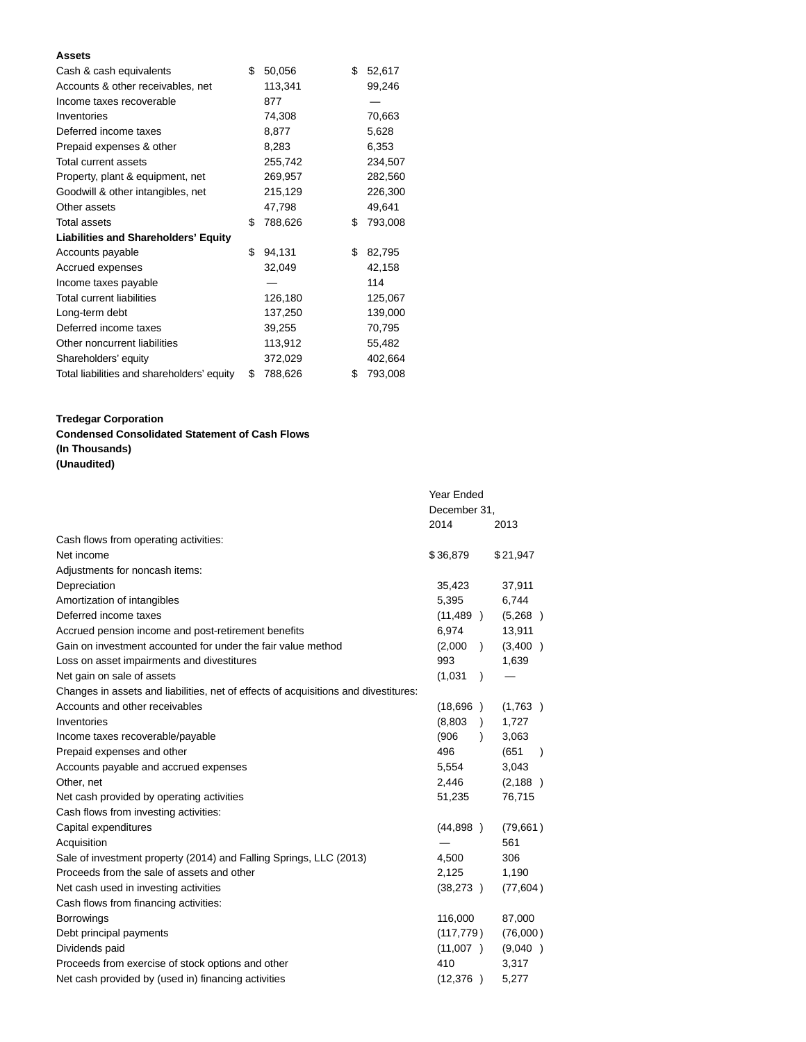### **Assets**

| Cash & cash equivalents                     | \$<br>50,056  | \$<br>52,617  |
|---------------------------------------------|---------------|---------------|
| Accounts & other receivables, net           | 113,341       | 99,246        |
| Income taxes recoverable                    | 877           |               |
| Inventories                                 | 74,308        | 70,663        |
| Deferred income taxes                       | 8,877         | 5,628         |
| Prepaid expenses & other                    | 8,283         | 6,353         |
| Total current assets                        | 255,742       | 234,507       |
| Property, plant & equipment, net            | 269,957       | 282,560       |
| Goodwill & other intangibles, net           | 215,129       | 226,300       |
| Other assets                                | 47,798        | 49,641        |
| <b>Total assets</b>                         | \$<br>788,626 | \$<br>793,008 |
| <b>Liabilities and Shareholders' Equity</b> |               |               |
| Accounts payable                            | \$<br>94,131  | \$<br>82,795  |
| Accrued expenses                            | 32,049        | 42,158        |
| Income taxes payable                        |               | 114           |
| <b>Total current liabilities</b>            | 126,180       | 125,067       |
| Long-term debt                              | 137,250       | 139,000       |
| Deferred income taxes                       | 39,255        | 70,795        |
| Other noncurrent liabilities                | 113,912       | 55,482        |
| Shareholders' equity                        | 372,029       | 402,664       |
| Total liabilities and shareholders' equity  | \$<br>788,626 | \$<br>793,008 |

# **Tredegar Corporation**

# **Condensed Consolidated Statement of Cash Flows (In Thousands) (Unaudited)**

|                                                                                     | Year Ended           |                    |  |  |
|-------------------------------------------------------------------------------------|----------------------|--------------------|--|--|
|                                                                                     | December 31,         |                    |  |  |
|                                                                                     | 2014                 | 2013               |  |  |
| Cash flows from operating activities:                                               |                      |                    |  |  |
| Net income                                                                          | \$36,879             | \$21,947           |  |  |
| Adjustments for noncash items:                                                      |                      |                    |  |  |
| Depreciation                                                                        | 35,423               | 37,911             |  |  |
| Amortization of intangibles                                                         | 5,395                | 6,744              |  |  |
| Deferred income taxes                                                               | (11, 489)            | (5,268)            |  |  |
| Accrued pension income and post-retirement benefits                                 | 6,974                | 13,911             |  |  |
| Gain on investment accounted for under the fair value method                        | (2,000)<br>$\lambda$ | (3,400)            |  |  |
| Loss on asset impairments and divestitures                                          | 993                  | 1,639              |  |  |
| Net gain on sale of assets                                                          | (1,031)<br>$\lambda$ |                    |  |  |
| Changes in assets and liabilities, net of effects of acquisitions and divestitures: |                      |                    |  |  |
| Accounts and other receivables                                                      | (18,696)             | (1,763)            |  |  |
| Inventories                                                                         | (8,803)<br>$\lambda$ | 1,727              |  |  |
| Income taxes recoverable/payable                                                    | (906)<br>$\lambda$   | 3,063              |  |  |
| Prepaid expenses and other                                                          | 496                  | (651)<br>$\lambda$ |  |  |
| Accounts payable and accrued expenses                                               | 5,554                | 3,043              |  |  |
| Other, net                                                                          | 2,446                | (2, 188)           |  |  |
| Net cash provided by operating activities                                           | 51,235               | 76,715             |  |  |
| Cash flows from investing activities:                                               |                      |                    |  |  |
| Capital expenditures                                                                | (44,898)             | (79, 661)          |  |  |
| Acquisition                                                                         |                      | 561                |  |  |
| Sale of investment property (2014) and Falling Springs, LLC (2013)                  | 4,500                | 306                |  |  |
| Proceeds from the sale of assets and other                                          | 2,125                | 1,190              |  |  |
| Net cash used in investing activities                                               | (38, 273)            | (77, 604)          |  |  |
| Cash flows from financing activities:                                               |                      |                    |  |  |
| <b>Borrowings</b>                                                                   | 116,000              | 87,000             |  |  |
| Debt principal payments                                                             | (117, 779)           | (76,000)           |  |  |
| Dividends paid                                                                      | (11,007)             | (9,040)            |  |  |
| Proceeds from exercise of stock options and other                                   | 410                  | 3,317              |  |  |
| Net cash provided by (used in) financing activities                                 | (12, 376)            | 5,277              |  |  |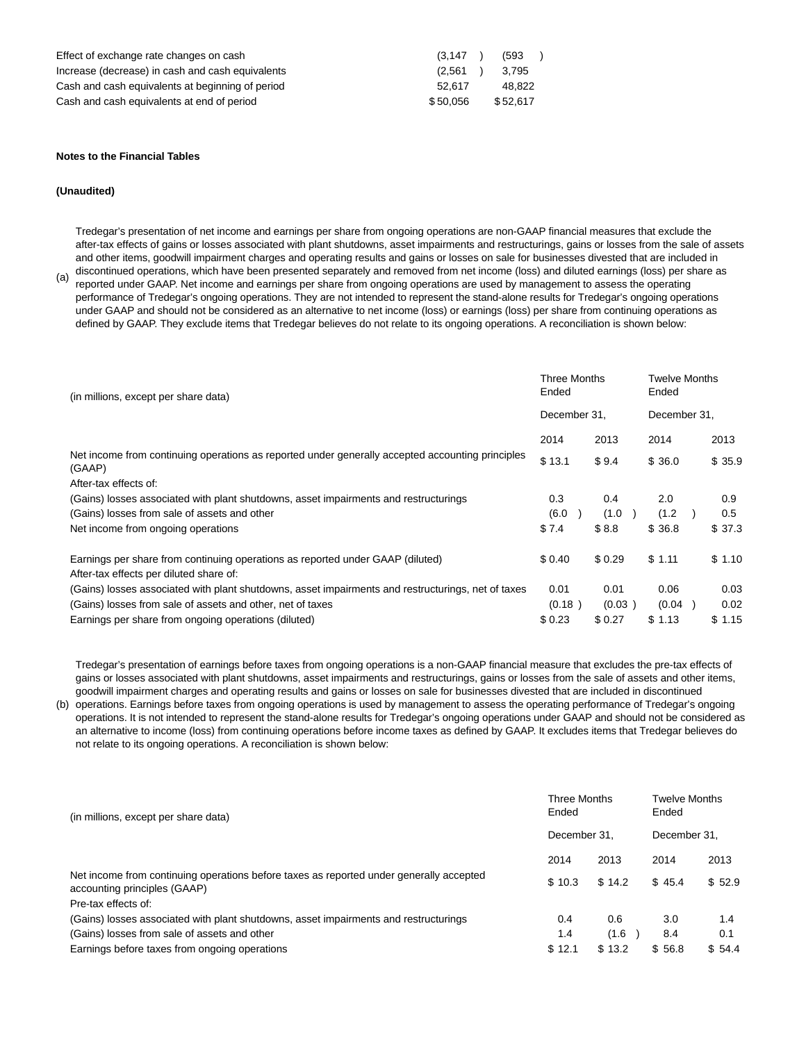| Effect of exchange rate changes on cash          | (3.147)  | (593)    |  |
|--------------------------------------------------|----------|----------|--|
| Increase (decrease) in cash and cash equivalents | (2.561)  | 3.795    |  |
| Cash and cash equivalents at beginning of period | 52.617   | 48.822   |  |
| Cash and cash equivalents at end of period       | \$50.056 | \$52.617 |  |

#### **Notes to the Financial Tables**

### **(Unaudited)**

Tredegar's presentation of net income and earnings per share from ongoing operations are non-GAAP financial measures that exclude the after-tax effects of gains or losses associated with plant shutdowns, asset impairments and restructurings, gains or losses from the sale of assets and other items, goodwill impairment charges and operating results and gains or losses on sale for businesses divested that are included in discontinued operations, which have been presented separately and removed from net income (loss) and diluted earnings (loss) per share as

(a) reported under GAAP. Net income and earnings per share from ongoing operations are used by management to assess the operating performance of Tredegar's ongoing operations. They are not intended to represent the stand-alone results for Tredegar's ongoing operations under GAAP and should not be considered as an alternative to net income (loss) or earnings (loss) per share from continuing operations as defined by GAAP. They exclude items that Tredegar believes do not relate to its ongoing operations. A reconciliation is shown below:

| Ended<br>(in millions, except per share data)                                                                             |              | <b>Three Months</b> | <b>Twelve Months</b><br>Ended |        |  |
|---------------------------------------------------------------------------------------------------------------------------|--------------|---------------------|-------------------------------|--------|--|
|                                                                                                                           | December 31, |                     | December 31,                  |        |  |
|                                                                                                                           | 2014         | 2013                | 2014                          | 2013   |  |
| Net income from continuing operations as reported under generally accepted accounting principles<br>(GAAP)                | \$13.1       | \$9.4               | \$36.0                        | \$35.9 |  |
| After-tax effects of:                                                                                                     |              |                     |                               |        |  |
| (Gains) losses associated with plant shutdowns, asset impairments and restructurings                                      | 0.3          | 0.4                 | 2.0                           | 0.9    |  |
| (Gains) losses from sale of assets and other                                                                              | (6.0)        | (1.0)               | (1.2)                         | 0.5    |  |
| Net income from ongoing operations                                                                                        | \$7.4        | \$8.8               | \$36.8                        | \$37.3 |  |
| Earnings per share from continuing operations as reported under GAAP (diluted)<br>After-tax effects per diluted share of: | \$0.40       | \$0.29              | \$1.11                        | \$1.10 |  |
| (Gains) losses associated with plant shutdowns, asset impairments and restructurings, net of taxes                        | 0.01         | 0.01                | 0.06                          | 0.03   |  |
| (Gains) losses from sale of assets and other, net of taxes                                                                | (0.18)       | (0.03)              | (0.04)                        | 0.02   |  |
| Earnings per share from ongoing operations (diluted)                                                                      | \$0.23       | \$ 0.27             | \$1.13                        | \$1.15 |  |

Tredegar's presentation of earnings before taxes from ongoing operations is a non-GAAP financial measure that excludes the pre-tax effects of gains or losses associated with plant shutdowns, asset impairments and restructurings, gains or losses from the sale of assets and other items, goodwill impairment charges and operating results and gains or losses on sale for businesses divested that are included in discontinued

(b) operations. Earnings before taxes from ongoing operations is used by management to assess the operating performance of Tredegar's ongoing operations. It is not intended to represent the stand-alone results for Tredegar's ongoing operations under GAAP and should not be considered as an alternative to income (loss) from continuing operations before income taxes as defined by GAAP. It excludes items that Tredegar believes do not relate to its ongoing operations. A reconciliation is shown below:

| (in millions, except per share data)                                                                                    |              | <b>Three Months</b> | <b>Twelve Months</b><br>Ended |        |  |
|-------------------------------------------------------------------------------------------------------------------------|--------------|---------------------|-------------------------------|--------|--|
|                                                                                                                         | December 31. |                     | December 31,                  |        |  |
|                                                                                                                         | 2014         | 2013                | 2014                          | 2013   |  |
| Net income from continuing operations before taxes as reported under generally accepted<br>accounting principles (GAAP) | \$10.3       | \$14.2              | \$45.4                        | \$52.9 |  |
| Pre-tax effects of:                                                                                                     |              |                     |                               |        |  |
| (Gains) losses associated with plant shutdowns, asset impairments and restructurings                                    | 0.4          | 0.6                 | 3.0                           | 1.4    |  |
| (Gains) losses from sale of assets and other                                                                            | 1.4          | (1.6)               | 8.4                           | 0.1    |  |
| Earnings before taxes from ongoing operations                                                                           | \$12.1       | \$13.2              | \$56.8                        | \$54.4 |  |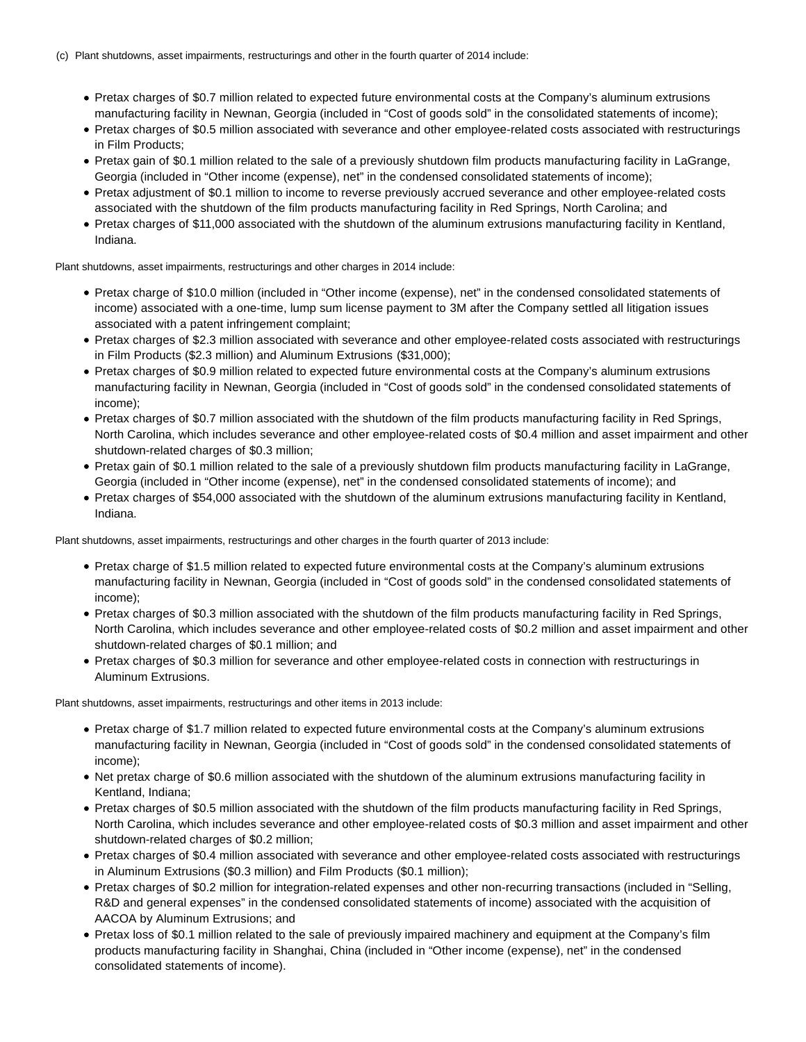- Pretax charges of \$0.7 million related to expected future environmental costs at the Company's aluminum extrusions manufacturing facility in Newnan, Georgia (included in "Cost of goods sold" in the consolidated statements of income);
- Pretax charges of \$0.5 million associated with severance and other employee-related costs associated with restructurings in Film Products;
- Pretax gain of \$0.1 million related to the sale of a previously shutdown film products manufacturing facility in LaGrange, Georgia (included in "Other income (expense), net" in the condensed consolidated statements of income);
- Pretax adjustment of \$0.1 million to income to reverse previously accrued severance and other employee-related costs associated with the shutdown of the film products manufacturing facility in Red Springs, North Carolina; and
- Pretax charges of \$11,000 associated with the shutdown of the aluminum extrusions manufacturing facility in Kentland, Indiana.

Plant shutdowns, asset impairments, restructurings and other charges in 2014 include:

- Pretax charge of \$10.0 million (included in "Other income (expense), net" in the condensed consolidated statements of income) associated with a one-time, lump sum license payment to 3M after the Company settled all litigation issues associated with a patent infringement complaint;
- Pretax charges of \$2.3 million associated with severance and other employee-related costs associated with restructurings in Film Products (\$2.3 million) and Aluminum Extrusions (\$31,000);
- Pretax charges of \$0.9 million related to expected future environmental costs at the Company's aluminum extrusions manufacturing facility in Newnan, Georgia (included in "Cost of goods sold" in the condensed consolidated statements of income);
- Pretax charges of \$0.7 million associated with the shutdown of the film products manufacturing facility in Red Springs, North Carolina, which includes severance and other employee-related costs of \$0.4 million and asset impairment and other shutdown-related charges of \$0.3 million;
- Pretax gain of \$0.1 million related to the sale of a previously shutdown film products manufacturing facility in LaGrange, Georgia (included in "Other income (expense), net" in the condensed consolidated statements of income); and
- Pretax charges of \$54,000 associated with the shutdown of the aluminum extrusions manufacturing facility in Kentland, Indiana.

Plant shutdowns, asset impairments, restructurings and other charges in the fourth quarter of 2013 include:

- Pretax charge of \$1.5 million related to expected future environmental costs at the Company's aluminum extrusions manufacturing facility in Newnan, Georgia (included in "Cost of goods sold" in the condensed consolidated statements of income);
- Pretax charges of \$0.3 million associated with the shutdown of the film products manufacturing facility in Red Springs, North Carolina, which includes severance and other employee-related costs of \$0.2 million and asset impairment and other shutdown-related charges of \$0.1 million; and
- Pretax charges of \$0.3 million for severance and other employee-related costs in connection with restructurings in Aluminum Extrusions.

Plant shutdowns, asset impairments, restructurings and other items in 2013 include:

- Pretax charge of \$1.7 million related to expected future environmental costs at the Company's aluminum extrusions manufacturing facility in Newnan, Georgia (included in "Cost of goods sold" in the condensed consolidated statements of income);
- Net pretax charge of \$0.6 million associated with the shutdown of the aluminum extrusions manufacturing facility in Kentland, Indiana;
- Pretax charges of \$0.5 million associated with the shutdown of the film products manufacturing facility in Red Springs, North Carolina, which includes severance and other employee-related costs of \$0.3 million and asset impairment and other shutdown-related charges of \$0.2 million;
- Pretax charges of \$0.4 million associated with severance and other employee-related costs associated with restructurings in Aluminum Extrusions (\$0.3 million) and Film Products (\$0.1 million);
- Pretax charges of \$0.2 million for integration-related expenses and other non-recurring transactions (included in "Selling, R&D and general expenses" in the condensed consolidated statements of income) associated with the acquisition of AACOA by Aluminum Extrusions; and
- Pretax loss of \$0.1 million related to the sale of previously impaired machinery and equipment at the Company's film products manufacturing facility in Shanghai, China (included in "Other income (expense), net" in the condensed consolidated statements of income).